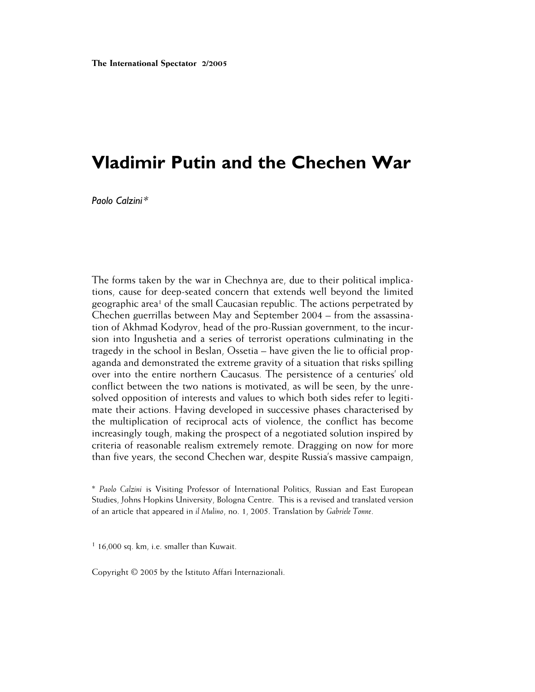*Paolo Calzini\**

The forms taken by the war in Chechnya are, due to their political implications, cause for deep-seated concern that extends well beyond the limited geographic area<sup>1</sup> of the small Caucasian republic. The actions perpetrated by Chechen guerrillas between May and September  $2004 -$  from the assassination of Akhmad Kodyrov, head of the pro-Russian government, to the incursion into Ingushetia and a series of terrorist operations culminating in the tragedy in the school in Beslan, Ossetia  $-$  have given the lie to official propaganda and demonstrated the extreme gravity of a situation that risks spilling over into the entire northern Caucasus. The persistence of a centuries' old conflict between the two nations is motivated, as will be seen, by the unresolved opposition of interests and values to which both sides refer to legitimate their actions. Having developed in successive phases characterised by the multiplication of reciprocal acts of violence, the conflict has become increasingly tough, making the prospect of a negotiated solution inspired by criteria of reasonable realism extremely remote. Dragging on now for more than five years, the second Chechen war, despite Russiaís massive campaign,

\* *Paolo Calzini* is Visiting Professor of International Politics, Russian and East European Studies, Johns Hopkins University, Bologna Centre. This is a revised and translated version of an article that appeared in *il Mulino*, no. 1, 2005. Translation by *Gabriele Tonne*.

 $1\,16,000$  sq. km, i.e. smaller than Kuwait.

Copyright © 2005 by the Istituto Affari Internazionali.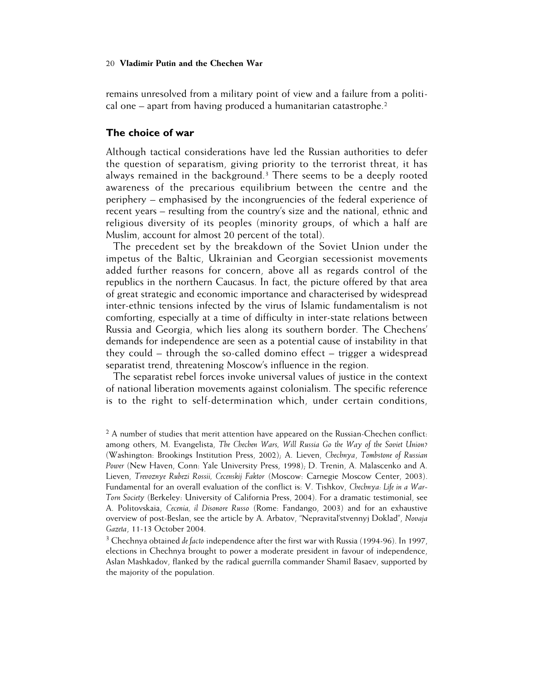remains unresolved from a military point of view and a failure from a political one – apart from having produced a humanitarian catastrophe.<sup>2</sup>

## **The choice of war**

Although tactical considerations have led the Russian authorities to defer the question of separatism, giving priority to the terrorist threat, it has always remained in the background.<sup>3</sup> There seems to be a deeply rooted awareness of the precarious equilibrium between the centre and the periphery – emphasised by the incongruencies of the federal experience of recent years – resulting from the country's size and the national, ethnic and religious diversity of its peoples (minority groups, of which a half are Muslim, account for almost 20 percent of the total).

The precedent set by the breakdown of the Soviet Union under the impetus of the Baltic, Ukrainian and Georgian secessionist movements added further reasons for concern, above all as regards control of the republics in the northern Caucasus. In fact, the picture offered by that area of great strategic and economic importance and characterised by widespread inter-ethnic tensions infected by the virus of Islamic fundamentalism is not comforting, especially at a time of difficulty in inter-state relations between Russia and Georgia, which lies along its southern border. The Chechensí demands for independence are seen as a potential cause of instability in that they could  $-$  through the so-called domino effect  $-$  trigger a widespread separatist trend, threatening Moscow's influence in the region.

The separatist rebel forces invoke universal values of justice in the context of national liberation movements against colonialism. The specific reference is to the right to self-determination which, under certain conditions,

<sup>&</sup>lt;sup>2</sup> A number of studies that merit attention have appeared on the Russian-Chechen conflict: among others, M. Evangelista, *The Chechen Wars, Will Russia Go the Way of the Soviet Union?* (Washington: Brookings Institution Press, 2002); A. Lieven, *Chechnya*, *Tombstone of Russian Power* (New Haven, Conn: Yale University Press, 1998); D. Trenin, A. Malascenko and A. Lieven, *Trevoznye Rubezi Rossii, Cecenskij Faktor* (Moscow: Carnegie Moscow Center, 2003). Fundamental for an overall evaluation of the conflict is: V. Tishkov, *Chechnya: Life in a War-Torn Society* (Berkeley: University of California Press, 2004). For a dramatic testimonial, see A. Politovskaia, *Cecenia, il Disonore Russo* (Rome: Fandango, 2003) and for an exhaustive overview of post-Beslan, see the article by A. Arbatov, "Nepravital'stvennyj Doklad", *Novaja Gazeta*, 11-13 October 2004.

<sup>3</sup> Chechnya obtained *de facto* independence after the first war with Russia (1994-96). In 1997, elections in Chechnya brought to power a moderate president in favour of independence, Aslan Mashkadov, flanked by the radical guerrilla commander Shamil Basaev, supported by the majority of the population.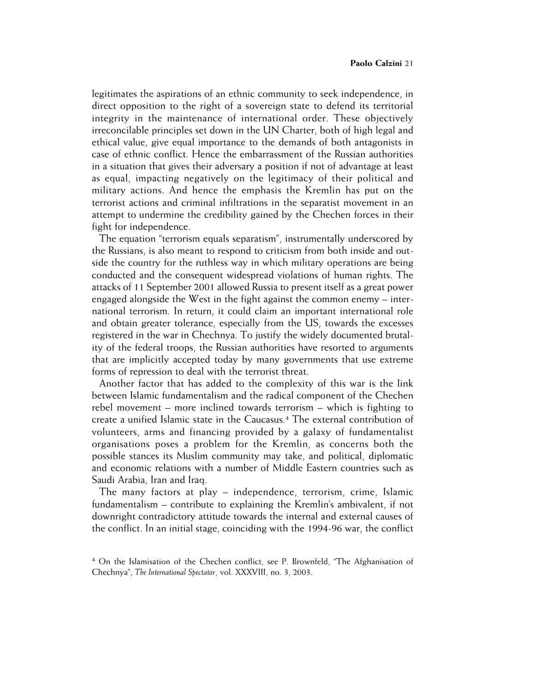legitimates the aspirations of an ethnic community to seek independence, in direct opposition to the right of a sovereign state to defend its territorial integrity in the maintenance of international order. These objectively irreconcilable principles set down in the UN Charter, both of high legal and ethical value, give equal importance to the demands of both antagonists in case of ethnic conflict. Hence the embarrassment of the Russian authorities in a situation that gives their adversary a position if not of advantage at least as equal, impacting negatively on the legitimacy of their political and military actions. And hence the emphasis the Kremlin has put on the terrorist actions and criminal infiltrations in the separatist movement in an attempt to undermine the credibility gained by the Chechen forces in their fight for independence.

The equation "terrorism equals separatism", instrumentally underscored by the Russians, is also meant to respond to criticism from both inside and outside the country for the ruthless way in which military operations are being conducted and the consequent widespread violations of human rights. The attacks of 11 September 2001 allowed Russia to present itself as a great power engaged alongside the West in the fight against the common enemy  $-$  international terrorism. In return, it could claim an important international role and obtain greater tolerance, especially from the US, towards the excesses registered in the war in Chechnya. To justify the widely documented brutality of the federal troops, the Russian authorities have resorted to arguments that are implicitly accepted today by many governments that use extreme forms of repression to deal with the terrorist threat.

Another factor that has added to the complexity of this war is the link between Islamic fundamentalism and the radical component of the Chechen rebel movement  $-$  more inclined towards terrorism  $-$  which is fighting to create a unified Islamic state in the Caucasus.<sup>4</sup> The external contribution of volunteers, arms and financing provided by a galaxy of fundamentalist organisations poses a problem for the Kremlin, as concerns both the possible stances its Muslim community may take, and political, diplomatic and economic relations with a number of Middle Eastern countries such as Saudi Arabia, Iran and Iraq.

The many factors at play – independence, terrorism, crime, Islamic fundamentalism – contribute to explaining the Kremlin's ambivalent, if not downright contradictory attitude towards the internal and external causes of the conflict. In an initial stage, coinciding with the 1994-96 war, the conflict

<sup>&</sup>lt;sup>4</sup> On the Islamisation of the Chechen conflict, see P. Brownfeld, "The Afghanisation of Chechnyaî, *The International Spectator*, vol. XXXVIII, no. 3, 2003.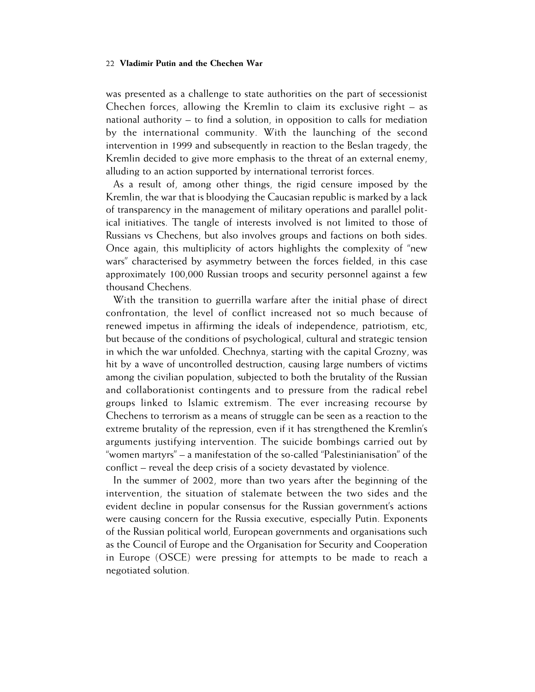was presented as a challenge to state authorities on the part of secessionist Chechen forces, allowing the Kremlin to claim its exclusive right  $-$  as national authority  $-$  to find a solution, in opposition to calls for mediation by the international community. With the launching of the second intervention in 1999 and subsequently in reaction to the Beslan tragedy, the Kremlin decided to give more emphasis to the threat of an external enemy, alluding to an action supported by international terrorist forces.

As a result of, among other things, the rigid censure imposed by the Kremlin, the war that is bloodying the Caucasian republic is marked by a lack of transparency in the management of military operations and parallel political initiatives. The tangle of interests involved is not limited to those of Russians vs Chechens, but also involves groups and factions on both sides. Once again, this multiplicity of actors highlights the complexity of "new wars" characterised by asymmetry between the forces fielded, in this case approximately 100,000 Russian troops and security personnel against a few thousand Chechens.

With the transition to guerrilla warfare after the initial phase of direct confrontation, the level of conflict increased not so much because of renewed impetus in affirming the ideals of independence, patriotism, etc, but because of the conditions of psychological, cultural and strategic tension in which the war unfolded. Chechnya, starting with the capital Grozny, was hit by a wave of uncontrolled destruction, causing large numbers of victims among the civilian population, subjected to both the brutality of the Russian and collaborationist contingents and to pressure from the radical rebel groups linked to Islamic extremism. The ever increasing recourse by Chechens to terrorism as a means of struggle can be seen as a reaction to the extreme brutality of the repression, even if it has strengthened the Kremlin's arguments justifying intervention. The suicide bombings carried out by "women martyrs" – a manifestation of the so-called "Palestinianisation" of the conflict – reveal the deep crisis of a society devastated by violence.

In the summer of 2002, more than two years after the beginning of the intervention, the situation of stalemate between the two sides and the evident decline in popular consensus for the Russian government's actions were causing concern for the Russia executive, especially Putin. Exponents of the Russian political world, European governments and organisations such as the Council of Europe and the Organisation for Security and Cooperation in Europe (OSCE) were pressing for attempts to be made to reach a negotiated solution.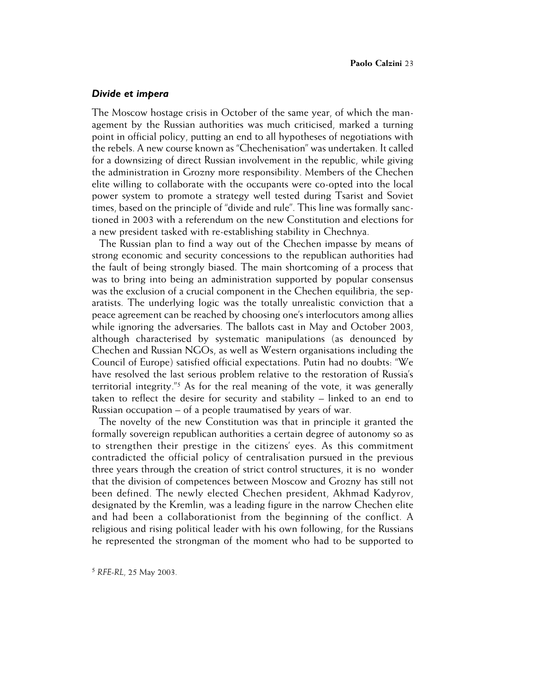## *Divide et impera*

The Moscow hostage crisis in October of the same year, of which the management by the Russian authorities was much criticised, marked a turning point in official policy, putting an end to all hypotheses of negotiations with the rebels. A new course known as "Chechenisation" was undertaken. It called for a downsizing of direct Russian involvement in the republic, while giving the administration in Grozny more responsibility. Members of the Chechen elite willing to collaborate with the occupants were co-opted into the local power system to promote a strategy well tested during Tsarist and Soviet times, based on the principle of "divide and rule". This line was formally sanctioned in 2003 with a referendum on the new Constitution and elections for a new president tasked with re-establishing stability in Chechnya.

The Russian plan to find a way out of the Chechen impasse by means of strong economic and security concessions to the republican authorities had the fault of being strongly biased. The main shortcoming of a process that was to bring into being an administration supported by popular consensus was the exclusion of a crucial component in the Chechen equilibria, the separatists. The underlying logic was the totally unrealistic conviction that a peace agreement can be reached by choosing oneís interlocutors among allies while ignoring the adversaries. The ballots cast in May and October 2003, although characterised by systematic manipulations (as denounced by Chechen and Russian NGOs, as well as Western organisations including the Council of Europe) satisfied official expectations. Putin had no doubts: "We have resolved the last serious problem relative to the restoration of Russia's territorial integrity.<sup> $15$ </sup> As for the real meaning of the vote, it was generally taken to reflect the desire for security and stability  $-$  linked to an end to Russian occupation  $-$  of a people traumatised by years of war.

The novelty of the new Constitution was that in principle it granted the formally sovereign republican authorities a certain degree of autonomy so as to strengthen their prestige in the citizens' eyes. As this commitment contradicted the official policy of centralisation pursued in the previous three years through the creation of strict control structures, it is no wonder that the division of competences between Moscow and Grozny has still not been defined. The newly elected Chechen president, Akhmad Kadyrov, designated by the Kremlin, was a leading figure in the narrow Chechen elite and had been a collaborationist from the beginning of the conflict. A religious and rising political leader with his own following, for the Russians he represented the strongman of the moment who had to be supported to

<sup>5</sup> *RFE-RL*, 25 May 2003.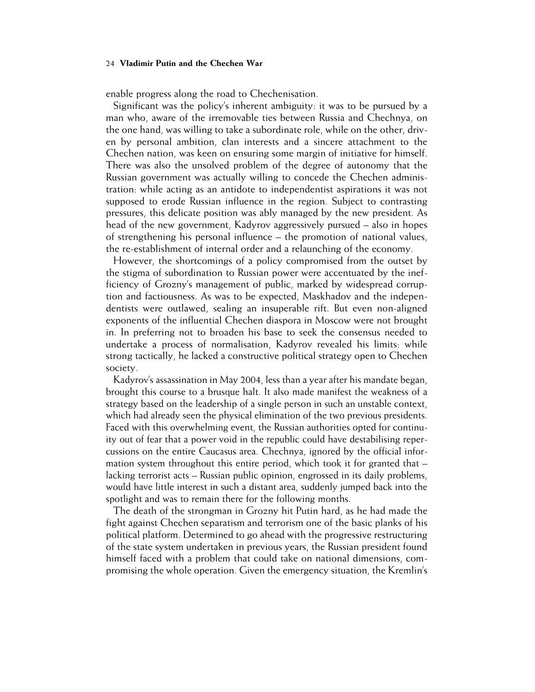enable progress along the road to Chechenisation.

Significant was the policyís inherent ambiguity: it was to be pursued by a man who, aware of the irremovable ties between Russia and Chechnya, on the one hand, was willing to take a subordinate role, while on the other, driven by personal ambition, clan interests and a sincere attachment to the Chechen nation, was keen on ensuring some margin of initiative for himself. There was also the unsolved problem of the degree of autonomy that the Russian government was actually willing to concede the Chechen administration: while acting as an antidote to independentist aspirations it was not supposed to erode Russian influence in the region. Subject to contrasting pressures, this delicate position was ably managed by the new president. As head of the new government, Kadyrov aggressively pursued – also in hopes of strengthening his personal influence  $-$  the promotion of national values, the re-establishment of internal order and a relaunching of the economy.

However, the shortcomings of a policy compromised from the outset by the stigma of subordination to Russian power were accentuated by the inefficiency of Groznyís management of public, marked by widespread corruption and factiousness. As was to be expected, Maskhadov and the independentists were outlawed, sealing an insuperable rift. But even non-aligned exponents of the influential Chechen diaspora in Moscow were not brought in. In preferring not to broaden his base to seek the consensus needed to undertake a process of normalisation, Kadyrov revealed his limits: while strong tactically, he lacked a constructive political strategy open to Chechen society.

Kadyrovís assassination in May 2004, less than a year after his mandate began, brought this course to a brusque halt. It also made manifest the weakness of a strategy based on the leadership of a single person in such an unstable context, which had already seen the physical elimination of the two previous presidents. Faced with this overwhelming event, the Russian authorities opted for continuity out of fear that a power void in the republic could have destabilising repercussions on the entire Caucasus area. Chechnya, ignored by the official information system throughout this entire period, which took it for granted that lacking terrorist acts – Russian public opinion, engrossed in its daily problems, would have little interest in such a distant area, suddenly jumped back into the spotlight and was to remain there for the following months.

The death of the strongman in Grozny hit Putin hard, as he had made the fight against Chechen separatism and terrorism one of the basic planks of his political platform. Determined to go ahead with the progressive restructuring of the state system undertaken in previous years, the Russian president found himself faced with a problem that could take on national dimensions, compromising the whole operation. Given the emergency situation, the Kremlinís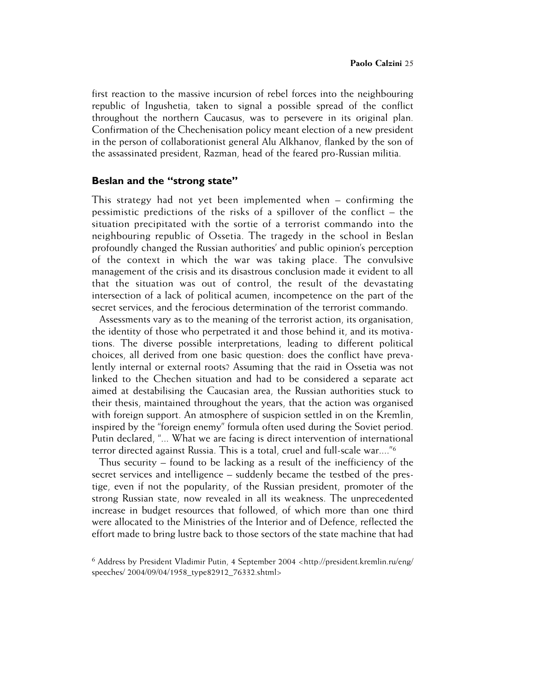first reaction to the massive incursion of rebel forces into the neighbouring republic of Ingushetia, taken to signal a possible spread of the conflict throughout the northern Caucasus, was to persevere in its original plan. Confirmation of the Chechenisation policy meant election of a new president in the person of collaborationist general Alu Alkhanov, flanked by the son of the assassinated president, Razman, head of the feared pro-Russian militia.

## **Beslan and the "strong state"**

This strategy had not yet been implemented when  $\overline{a}$  confirming the pessimistic predictions of the risks of a spillover of the conflict  $-$  the situation precipitated with the sortie of a terrorist commando into the neighbouring republic of Ossetia. The tragedy in the school in Beslan profoundly changed the Russian authoritiesí and public opinionís perception of the context in which the war was taking place. The convulsive management of the crisis and its disastrous conclusion made it evident to all that the situation was out of control, the result of the devastating intersection of a lack of political acumen, incompetence on the part of the secret services, and the ferocious determination of the terrorist commando.

Assessments vary as to the meaning of the terrorist action, its organisation, the identity of those who perpetrated it and those behind it, and its motivations. The diverse possible interpretations, leading to different political choices, all derived from one basic question: does the conflict have prevalently internal or external roots? Assuming that the raid in Ossetia was not linked to the Chechen situation and had to be considered a separate act aimed at destabilising the Caucasian area, the Russian authorities stuck to their thesis, maintained throughout the years, that the action was organised with foreign support. An atmosphere of suspicion settled in on the Kremlin, inspired by the "foreign enemy" formula often used during the Soviet period. Putin declared, "... What we are facing is direct intervention of international terror directed against Russia. This is a total, cruel and full-scale war....<sup>"6</sup>

Thus security  $-$  found to be lacking as a result of the inefficiency of the secret services and intelligence – suddenly became the testbed of the prestige, even if not the popularity, of the Russian president, promoter of the strong Russian state, now revealed in all its weakness. The unprecedented increase in budget resources that followed, of which more than one third were allocated to the Ministries of the Interior and of Defence, reflected the effort made to bring lustre back to those sectors of the state machine that had

<sup>6</sup> Address by President Vladimir Putin, 4 September 2004 <http://president.kremlin.ru/eng/ speeches/ 2004/09/04/1958\_type82912\_76332.shtml>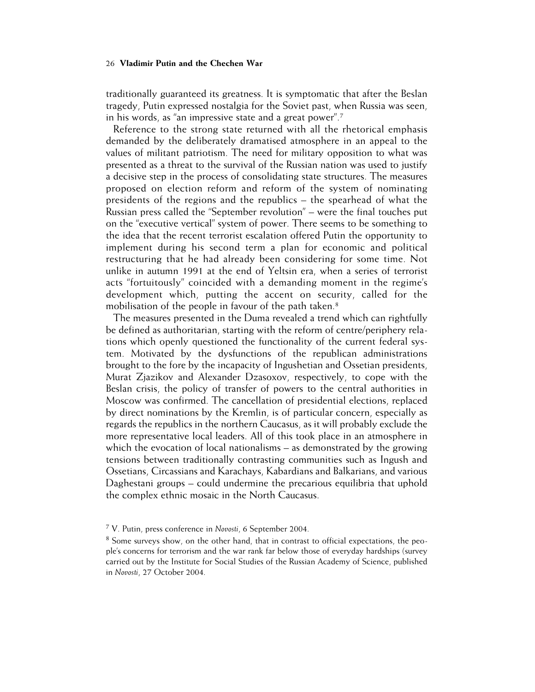traditionally guaranteed its greatness. It is symptomatic that after the Beslan tragedy, Putin expressed nostalgia for the Soviet past, when Russia was seen, in his words, as "an impressive state and a great power".<sup>7</sup>

Reference to the strong state returned with all the rhetorical emphasis demanded by the deliberately dramatised atmosphere in an appeal to the values of militant patriotism. The need for military opposition to what was presented as a threat to the survival of the Russian nation was used to justify a decisive step in the process of consolidating state structures. The measures proposed on election reform and reform of the system of nominating presidents of the regions and the republics  $-$  the spearhead of what the Russian press called the "September revolution"  $-$  were the final touches put on the "executive vertical" system of power. There seems to be something to the idea that the recent terrorist escalation offered Putin the opportunity to implement during his second term a plan for economic and political restructuring that he had already been considering for some time. Not unlike in autumn 1991 at the end of Yeltsin era, when a series of terrorist acts "fortuitously" coincided with a demanding moment in the regime's development which, putting the accent on security, called for the mobilisation of the people in favour of the path taken.<sup>8</sup>

The measures presented in the Duma revealed a trend which can rightfully be defined as authoritarian, starting with the reform of centre/periphery relations which openly questioned the functionality of the current federal system. Motivated by the dysfunctions of the republican administrations brought to the fore by the incapacity of Ingushetian and Ossetian presidents, Murat Zjazikov and Alexander Dzasoxov, respectively, to cope with the Beslan crisis, the policy of transfer of powers to the central authorities in Moscow was confirmed. The cancellation of presidential elections, replaced by direct nominations by the Kremlin, is of particular concern, especially as regards the republics in the northern Caucasus, as it will probably exclude the more representative local leaders. All of this took place in an atmosphere in which the evocation of local nationalisms  $-\alpha$  as demonstrated by the growing tensions between traditionally contrasting communities such as Ingush and Ossetians, Circassians and Karachays, Kabardians and Balkarians, and various Daghestani groups  $-$  could undermine the precarious equilibria that uphold the complex ethnic mosaic in the North Caucasus.

<sup>7</sup> V. Putin, press conference in *Novosti*, 6 September 2004.

<sup>8</sup> Some surveys show, on the other hand, that in contrast to official expectations, the peopleís concerns for terrorism and the war rank far below those of everyday hardships (survey carried out by the Institute for Social Studies of the Russian Academy of Science, published in *Novosti*, 27 October 2004.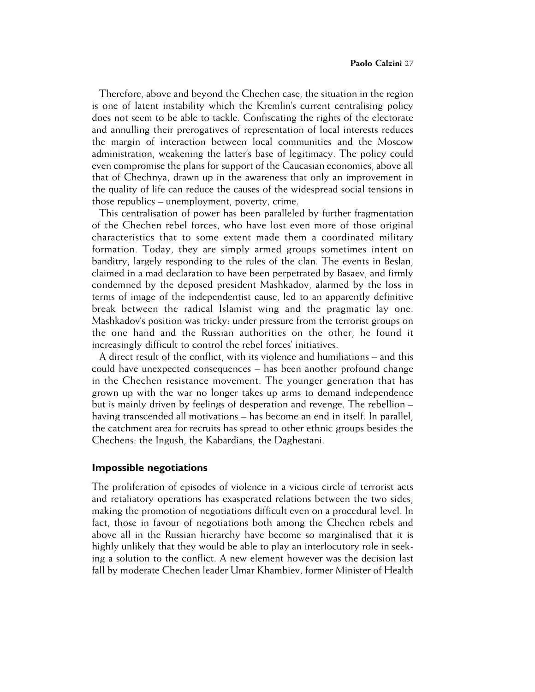Therefore, above and beyond the Chechen case, the situation in the region is one of latent instability which the Kremlin's current centralising policy does not seem to be able to tackle. Confiscating the rights of the electorate and annulling their prerogatives of representation of local interests reduces the margin of interaction between local communities and the Moscow administration, weakening the latter's base of legitimacy. The policy could even compromise the plans for support of the Caucasian economies, above all that of Chechnya, drawn up in the awareness that only an improvement in the quality of life can reduce the causes of the widespread social tensions in those republics  $-$  unemployment, poverty, crime.

This centralisation of power has been paralleled by further fragmentation of the Chechen rebel forces, who have lost even more of those original characteristics that to some extent made them a coordinated military formation. Today, they are simply armed groups sometimes intent on banditry, largely responding to the rules of the clan. The events in Beslan, claimed in a mad declaration to have been perpetrated by Basaev, and firmly condemned by the deposed president Mashkadov, alarmed by the loss in terms of image of the independentist cause, led to an apparently definitive break between the radical Islamist wing and the pragmatic lay one. Mashkadov's position was tricky: under pressure from the terrorist groups on the one hand and the Russian authorities on the other, he found it increasingly difficult to control the rebel forces' initiatives.

A direct result of the conflict, with its violence and humiliations  $-$  and this could have unexpected consequences – has been another profound change in the Chechen resistance movement. The younger generation that has grown up with the war no longer takes up arms to demand independence but is mainly driven by feelings of desperation and revenge. The rebellion – having transcended all motivations – has become an end in itself. In parallel, the catchment area for recruits has spread to other ethnic groups besides the Chechens: the Ingush, the Kabardians, the Daghestani.

# **Impossible negotiations**

The proliferation of episodes of violence in a vicious circle of terrorist acts and retaliatory operations has exasperated relations between the two sides, making the promotion of negotiations difficult even on a procedural level. In fact, those in favour of negotiations both among the Chechen rebels and above all in the Russian hierarchy have become so marginalised that it is highly unlikely that they would be able to play an interlocutory role in seeking a solution to the conflict. A new element however was the decision last fall by moderate Chechen leader Umar Khambiev, former Minister of Health